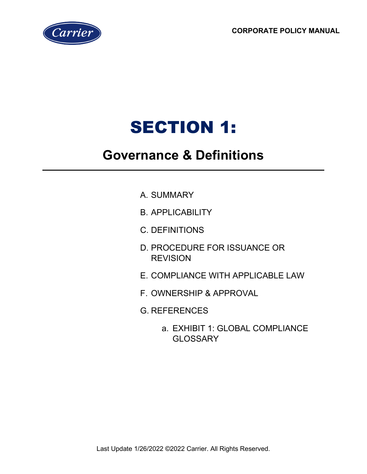**CORPORATE POLICY MANUAL**



# SECTION 1:

# **Governance & Definitions**

- A. SUMMARY
- B. APPLICABILITY
- C. DEFINITIONS
- D. PROCEDURE FOR ISSUANCE OR **REVISION**
- E. COMPLIANCE WITH APPLICABLE LAW
- F. OWNERSHIP & APPROVAL
- G. REFERENCES
	- a. EXHIBIT 1: GLOBAL COMPLIANCE **GLOSSARY**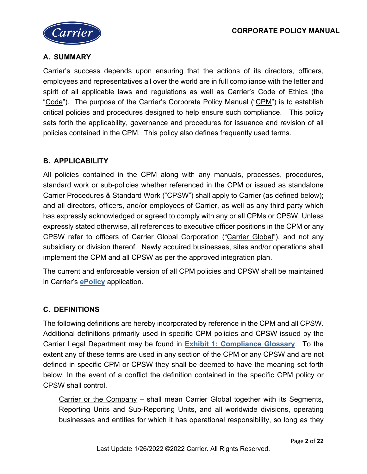

# **A. SUMMARY**

Carrier's success depends upon ensuring that the actions of its directors, officers, employees and representatives all over the world are in full compliance with the letter and spirit of all applicable laws and regulations as well as Carrier's Code of Ethics (the "Code"). The purpose of the Carrier's Corporate Policy Manual ("CPM") is to establish critical policies and procedures designed to help ensure such compliance. This policy sets forth the applicability, governance and procedures for issuance and revision of all policies contained in the CPM. This policy also defines frequently used terms.

# **B. APPLICABILITY**

All policies contained in the CPM along with any manuals, processes, procedures, standard work or sub-policies whether referenced in the CPM or issued as standalone Carrier Procedures & Standard Work ("CPSW") shall apply to Carrier (as defined below); and all directors, officers, and/or employees of Carrier, as well as any third party which has expressly acknowledged or agreed to comply with any or all CPMs or CPSW. Unless expressly stated otherwise, all references to executive officer positions in the CPM or any CPSW refer to officers of Carrier Global Corporation ("Carrier Global"), and not any subsidiary or division thereof. Newly acquired businesses, sites and/or operations shall implement the CPM and all CPSW as per the approved integration plan.

The current and enforceable version of all CPM policies and CPSW shall be maintained in Carrier's **[ePolicy](http://amc.apps.carrier.com/ePolicy_Carrier/)** application.

## **C. DEFINITIONS**

The following definitions are hereby incorporated by reference in the CPM and all CPSW. Additional definitions primarily used in specific CPM policies and CPSW issued by the Carrier Legal Department may be found in **[Exhibit 1: Compliance Glossary](http://amc.apps.carrier.com/ePolicy_Carrier/)**. To the extent any of these terms are used in any section of the CPM or any CPSW and are not defined in specific CPM or CPSW they shall be deemed to have the meaning set forth below. In the event of a conflict the definition contained in the specific CPM policy or CPSW shall control.

Carrier or the Company – shall mean Carrier Global together with its Segments, Reporting Units and Sub-Reporting Units, and all worldwide divisions, operating businesses and entities for which it has operational responsibility, so long as they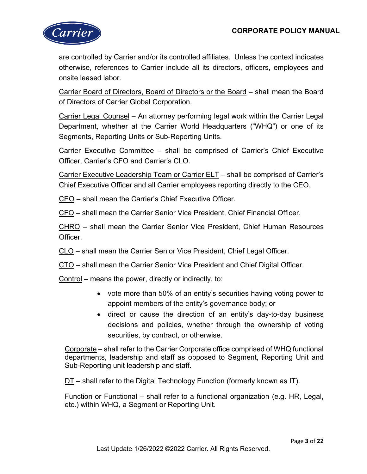

are controlled by Carrier and/or its controlled affiliates. Unless the context indicates otherwise, references to Carrier include all its directors, officers, employees and onsite leased labor.

Carrier Board of Directors, Board of Directors or the Board – shall mean the Board of Directors of Carrier Global Corporation.

Carrier Legal Counsel – An attorney performing legal work within the Carrier Legal Department, whether at the Carrier World Headquarters ("WHQ") or one of its Segments, Reporting Units or Sub-Reporting Units.

Carrier Executive Committee – shall be comprised of Carrier's Chief Executive Officer, Carrier's CFO and Carrier's CLO.

Carrier Executive Leadership Team or Carrier ELT – shall be comprised of Carrier's Chief Executive Officer and all Carrier employees reporting directly to the CEO.

CEO – shall mean the Carrier's Chief Executive Officer.

CFO – shall mean the Carrier Senior Vice President, Chief Financial Officer.

CHRO – shall mean the Carrier Senior Vice President, Chief Human Resources Officer.

CLO – shall mean the Carrier Senior Vice President, Chief Legal Officer.

CTO – shall mean the Carrier Senior Vice President and Chief Digital Officer.

Control – means the power, directly or indirectly, to:

- vote more than 50% of an entity's securities having voting power to appoint members of the entity's governance body; or
- direct or cause the direction of an entity's day-to-day business decisions and policies, whether through the ownership of voting securities, by contract, or otherwise.

Corporate – shall refer to the Carrier Corporate office comprised of WHQ functional departments, leadership and staff as opposed to Segment, Reporting Unit and Sub-Reporting unit leadership and staff.

DT – shall refer to the Digital Technology Function (formerly known as IT).

Function or Functional – shall refer to a functional organization (e.g. HR, Legal, etc.) within WHQ, a Segment or Reporting Unit.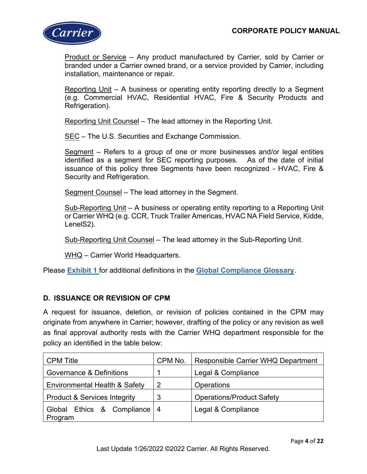

Product or Service – Any product manufactured by Carrier, sold by Carrier or branded under a Carrier owned brand, or a service provided by Carrier, including installation, maintenance or repair.

Reporting Unit – A business or operating entity reporting directly to a Segment (e.g. Commercial HVAC, Residential HVAC, Fire & Security Products and Refrigeration).

Reporting Unit Counsel – The lead attorney in the Reporting Unit.

SEC – The U.S. Securities and Exchange Commission.

Segment – Refers to a group of one or more businesses and/or legal entities identified as a segment for SEC reporting purposes. As of the date of initial issuance of this policy three Segments have been recognized - HVAC, Fire & Security and Refrigeration.

Segment Counsel – The lead attorney in the Segment.

Sub-Reporting Unit – A business or operating entity reporting to a Reporting Unit or Carrier WHQ (e.g. CCR, Truck Trailer Americas, HVAC NA Field Service, Kidde, LenelS2).

Sub-Reporting Unit Counsel – The lead attorney in the Sub-Reporting Unit.

WHQ - Carrier World Headquarters.

Please **[Exhibit 1](http://amc.apps.carrier.com/ePolicy_Carrier/)** for additional definitions in the **[Global Compliance Glossary](http://amc.apps.carrier.com/ePolicy_Carrier/)**.

#### **D. ISSUANCE OR REVISION OF CPM**

A request for issuance, deletion, or revision of policies contained in the CPM may originate from anywhere in Carrier; however, drafting of the policy or any revision as well as final approval authority rests with the Carrier WHQ department responsible for the policy an identified in the table below:

| <b>CPM Title</b>                          | CPM No. | Responsible Carrier WHQ Department |
|-------------------------------------------|---------|------------------------------------|
| Governance & Definitions                  |         | Legal & Compliance                 |
| Environmental Health & Safety             | 2       | <b>Operations</b>                  |
| <b>Product &amp; Services Integrity</b>   |         | <b>Operations/Product Safety</b>   |
| Global Ethics & Compliance   4<br>Program |         | Legal & Compliance                 |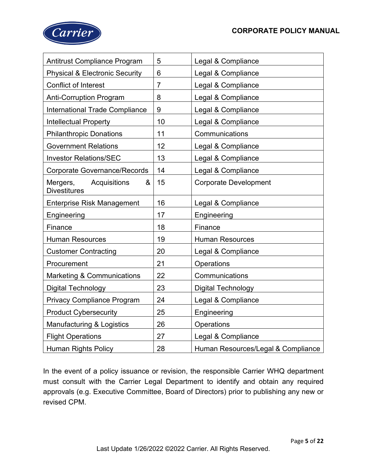

| <b>Antitrust Compliance Program</b>                  | 5              | Legal & Compliance                 |
|------------------------------------------------------|----------------|------------------------------------|
| <b>Physical &amp; Electronic Security</b>            | 6              | Legal & Compliance                 |
| <b>Conflict of Interest</b>                          | $\overline{7}$ | Legal & Compliance                 |
| <b>Anti-Corruption Program</b>                       | 8              | Legal & Compliance                 |
| <b>International Trade Compliance</b>                | 9              | Legal & Compliance                 |
| <b>Intellectual Property</b>                         | 10             | Legal & Compliance                 |
| <b>Philanthropic Donations</b>                       | 11             | Communications                     |
| <b>Government Relations</b>                          | 12             | Legal & Compliance                 |
| <b>Investor Relations/SEC</b>                        | 13             | Legal & Compliance                 |
| <b>Corporate Governance/Records</b>                  | 14             | Legal & Compliance                 |
| Mergers,<br>Acquisitions<br>&<br><b>Divestitures</b> | 15             | <b>Corporate Development</b>       |
| <b>Enterprise Risk Management</b>                    | 16             | Legal & Compliance                 |
| Engineering                                          | 17             | Engineering                        |
| Finance                                              | 18             | Finance                            |
| <b>Human Resources</b>                               | 19             | <b>Human Resources</b>             |
| <b>Customer Contracting</b>                          | 20             | Legal & Compliance                 |
| Procurement                                          | 21             | Operations                         |
| <b>Marketing &amp; Communications</b>                | 22             | Communications                     |
| <b>Digital Technology</b>                            | 23             | <b>Digital Technology</b>          |
| <b>Privacy Compliance Program</b>                    | 24             | Legal & Compliance                 |
| <b>Product Cybersecurity</b>                         | 25             | Engineering                        |
| Manufacturing & Logistics                            | 26             | Operations                         |
| <b>Flight Operations</b>                             | 27             | Legal & Compliance                 |
| <b>Human Rights Policy</b>                           | 28             | Human Resources/Legal & Compliance |

In the event of a policy issuance or revision, the responsible Carrier WHQ department must consult with the Carrier Legal Department to identify and obtain any required approvals (e.g. Executive Committee, Board of Directors) prior to publishing any new or revised CPM.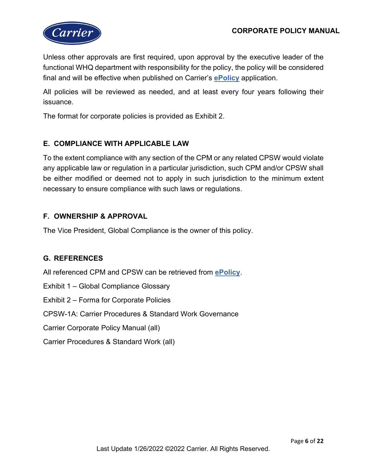

Unless other approvals are first required, upon approval by the executive leader of the functional WHQ department with responsibility for the policy, the policy will be considered final and will be effective when published on Carrier's **[ePolicy](http://amc.apps.carrier.com/ePolicy_Carrier/)** application.

All policies will be reviewed as needed, and at least every four years following their issuance.

The format for corporate policies is provided as Exhibit 2.

## **E. COMPLIANCE WITH APPLICABLE LAW**

To the extent compliance with any section of the CPM or any related CPSW would violate any applicable law or regulation in a particular jurisdiction, such CPM and/or CPSW shall be either modified or deemed not to apply in such jurisdiction to the minimum extent necessary to ensure compliance with such laws or regulations.

#### **F. OWNERSHIP & APPROVAL**

The Vice President, Global Compliance is the owner of this policy.

## **G. REFERENCES**

All referenced CPM and CPSW can be retrieved from **[ePolicy](http://amc.apps.carrier.com/ePolicy_Carrier/)**.

Exhibit 1 – Global Compliance Glossary

Exhibit 2 – Forma for Corporate Policies

CPSW-1A: Carrier Procedures & Standard Work Governance

Carrier Corporate Policy Manual (all)

Carrier Procedures & Standard Work (all)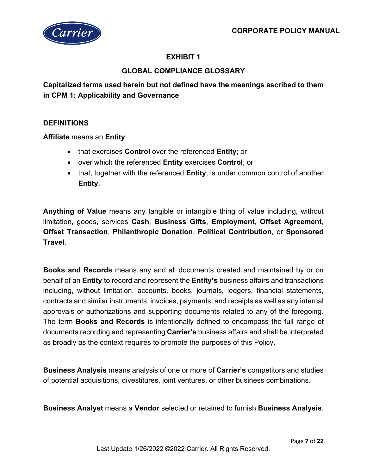

# **EXHIBIT 1**

# **GLOBAL COMPLIANCE GLOSSARY**

**Capitalized terms used herein but not defined have the meanings ascribed to them in CPM 1: Applicability and Governance**

#### **DEFINITIONS**

**Affiliate** means an **Entity**:

- that exercises **Control** over the referenced **Entity**; or
- over which the referenced **Entity** exercises **Control**; or
- that, together with the referenced **Entity**, is under common control of another **Entity**.

**Anything of Value** means any tangible or intangible thing of value including, without limitation, goods, services **Cash**, **Business Gifts**, **Employment**, **Offset Agreement**, **Offset Transaction**, **Philanthropic Donation**, **Political Contribution**, or **Sponsored Travel**.

**Books and Records** means any and all documents created and maintained by or on behalf of an **Entity** to record and represent the **Entity's** business affairs and transactions including, without limitation, accounts, books, journals, ledgers, financial statements, contracts and similar instruments, invoices, payments, and receipts as well as any internal approvals or authorizations and supporting documents related to any of the foregoing. The term **Books and Records** is intentionally defined to encompass the full range of documents recording and representing **Carrier's** business affairs and shall be interpreted as broadly as the context requires to promote the purposes of this Policy.

**Business Analysis** means analysis of one or more of **Carrier's** competitors and studies of potential acquisitions, divestitures, joint ventures, or other business combinations.

**Business Analyst** means a **Vendor** selected or retained to furnish **Business Analysis**.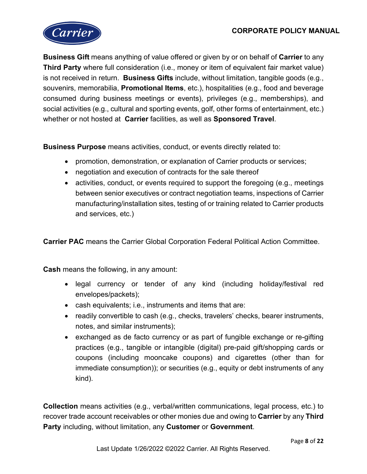

**Business Gift** means anything of value offered or given by or on behalf of **Carrier** to any **Third Party** where full consideration (i.e., money or item of equivalent fair market value) is not received in return. **Business Gifts** include, without limitation, tangible goods (e.g., souvenirs, memorabilia, **Promotional Items**, etc.), hospitalities (e.g., food and beverage consumed during business meetings or events), privileges (e.g., memberships), and social activities (e.g., cultural and sporting events, golf, other forms of entertainment, etc.) whether or not hosted at **Carrier** facilities, as well as **Sponsored Travel**.

**Business Purpose** means activities, conduct, or events directly related to:

- promotion, demonstration, or explanation of Carrier products or services;
- negotiation and execution of contracts for the sale thereof
- activities, conduct, or events required to support the foregoing (e.g., meetings between senior executives or contract negotiation teams, inspections of Carrier manufacturing/installation sites, testing of or training related to Carrier products and services, etc.)

**Carrier PAC** means the Carrier Global Corporation Federal Political Action Committee.

**Cash** means the following, in any amount:

- legal currency or tender of any kind (including holiday/festival red envelopes/packets);
- cash equivalents; i.e., instruments and items that are:
- readily convertible to cash (e.g., checks, travelers' checks, bearer instruments, notes, and similar instruments);
- exchanged as de facto currency or as part of fungible exchange or re-gifting practices (e.g., tangible or intangible (digital) pre-paid gift/shopping cards or coupons (including mooncake coupons) and cigarettes (other than for immediate consumption)); or securities (e.g., equity or debt instruments of any kind).

**Collection** means activities (e.g., verbal/written communications, legal process, etc.) to recover trade account receivables or other monies due and owing to **Carrier** by any **Third Party** including, without limitation, any **Customer** or **Government**.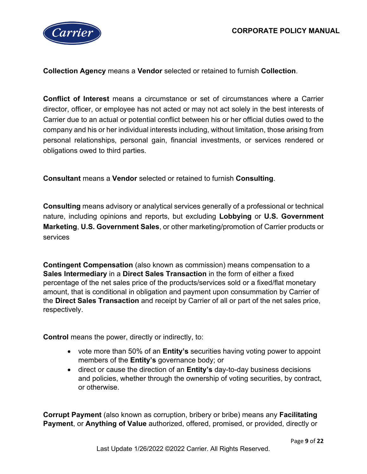

**Collection Agency** means a **Vendor** selected or retained to furnish **Collection**.

**Conflict of Interest** means a circumstance or set of circumstances where a Carrier director, officer, or employee has not acted or may not act solely in the best interests of Carrier due to an actual or potential conflict between his or her official duties owed to the company and his or her individual interests including, without limitation, those arising from personal relationships, personal gain, financial investments, or services rendered or obligations owed to third parties.

**Consultant** means a **Vendor** selected or retained to furnish **Consulting**.

**Consulting** means advisory or analytical services generally of a professional or technical nature, including opinions and reports, but excluding **Lobbying** or **U.S. Government Marketing**, **U.S. Government Sales**, or other marketing/promotion of Carrier products or services

**Contingent Compensation** (also known as commission) means compensation to a **Sales Intermediary** in a **Direct Sales Transaction** in the form of either a fixed percentage of the net sales price of the products/services sold or a fixed/flat monetary amount, that is conditional in obligation and payment upon consummation by Carrier of the **Direct Sales Transaction** and receipt by Carrier of all or part of the net sales price, respectively.

**Control** means the power, directly or indirectly, to:

- vote more than 50% of an **Entity's** securities having voting power to appoint members of the **Entity's** governance body; or
- direct or cause the direction of an **Entity's** day-to-day business decisions and policies, whether through the ownership of voting securities, by contract, or otherwise.

**Corrupt Payment** (also known as corruption, bribery or bribe) means any **Facilitating Payment**, or **Anything of Value** authorized, offered, promised, or provided, directly or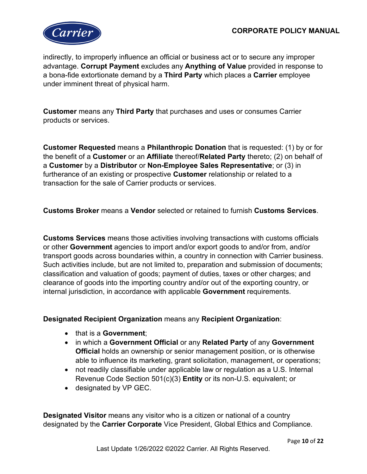

indirectly, to improperly influence an official or business act or to secure any improper advantage. **Corrupt Payment** excludes any **Anything of Value** provided in response to a bona-fide extortionate demand by a **Third Party** which places a **Carrier** employee under imminent threat of physical harm.

**Customer** means any **Third Party** that purchases and uses or consumes Carrier products or services.

**Customer Requested** means a **Philanthropic Donation** that is requested: (1) by or for the benefit of a **Customer** or an **Affiliate** thereof/**Related Party** thereto; (2) on behalf of a **Customer** by a **Distributor** or **Non-Employee Sales Representative**; or (3) in furtherance of an existing or prospective **Customer** relationship or related to a transaction for the sale of Carrier products or services.

**Customs Broker** means a **Vendor** selected or retained to furnish **Customs Services**.

**Customs Services** means those activities involving transactions with customs officials or other **Government** agencies to import and/or export goods to and/or from, and/or transport goods across boundaries within, a country in connection with Carrier business. Such activities include, but are not limited to, preparation and submission of documents; classification and valuation of goods; payment of duties, taxes or other charges; and clearance of goods into the importing country and/or out of the exporting country, or internal jurisdiction, in accordance with applicable **Government** requirements.

#### **Designated Recipient Organization** means any **Recipient Organization**:

- that is a **Government**;
- in which a **Government Official** or any **Related Party** of any **Government Official** holds an ownership or senior management position, or is otherwise able to influence its marketing, grant solicitation, management, or operations;
- not readily classifiable under applicable law or regulation as a U.S. Internal Revenue Code Section 501(c)(3) **Entity** or its non-U.S. equivalent; or
- designated by VP GEC.

**Designated Visitor** means any visitor who is a citizen or national of a country designated by the **Carrier Corporate** Vice President, Global Ethics and Compliance.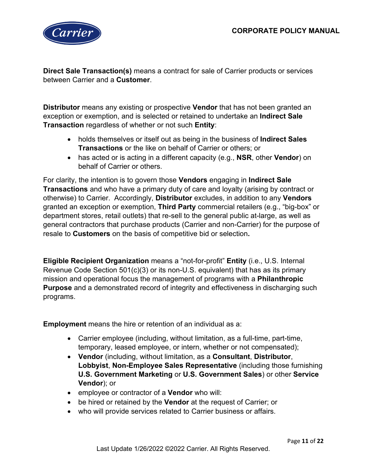

**Direct Sale Transaction(s)** means a contract for sale of Carrier products or services between Carrier and a **Customer**.

**Distributor** means any existing or prospective **Vendor** that has not been granted an exception or exemption, and is selected or retained to undertake an **Indirect Sale Transaction** regardless of whether or not such **Entity**:

- holds themselves or itself out as being in the business of **Indirect Sales Transactions** or the like on behalf of Carrier or others; or
- has acted or is acting in a different capacity (e.g., **NSR**, other **Vendor**) on behalf of Carrier or others.

For clarity, the intention is to govern those **Vendors** engaging in **Indirect Sale Transactions** and who have a primary duty of care and loyalty (arising by contract or otherwise) to Carrier. Accordingly, **Distributor** excludes, in addition to any **Vendors** granted an exception or exemption, **Third Party** commercial retailers (e.g., "big-box" or department stores, retail outlets) that re-sell to the general public at-large, as well as general contractors that purchase products (Carrier and non-Carrier) for the purpose of resale to **Customers** on the basis of competitive bid or selection**.**

**Eligible Recipient Organization** means a "not-for-profit" **Entity** (i.e., U.S. Internal Revenue Code Section 501(c)(3) or its non-U.S. equivalent) that has as its primary mission and operational focus the management of programs with a **Philanthropic Purpose** and a demonstrated record of integrity and effectiveness in discharging such programs.

**Employment** means the hire or retention of an individual as a:

- Carrier employee (including, without limitation, as a full-time, part-time, temporary, leased employee, or intern, whether or not compensated);
- **Vendor** (including, without limitation, as a **Consultant**, **Distributor**, **Lobbyist**, **Non-Employee Sales Representative** (including those furnishing **U.S. Government Marketing** or **U.S. Government Sales**) or other **Service Vendor**); or
- employee or contractor of a **Vendor** who will:
- be hired or retained by the **Vendor** at the request of Carrier; or
- who will provide services related to Carrier business or affairs.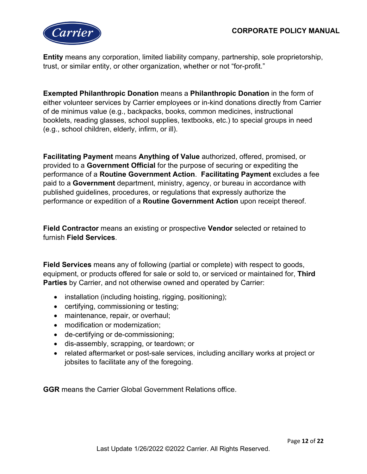

**Entity** means any corporation, limited liability company, partnership, sole proprietorship, trust, or similar entity, or other organization, whether or not "for-profit."

**Exempted Philanthropic Donation** means a **Philanthropic Donation** in the form of either volunteer services by Carrier employees or in-kind donations directly from Carrier of de minimus value (e.g., backpacks, books, common medicines, instructional booklets, reading glasses, school supplies, textbooks, etc.) to special groups in need (e.g., school children, elderly, infirm, or ill).

**Facilitating Payment** means **Anything of Value** authorized, offered, promised, or provided to a **Government Official** for the purpose of securing or expediting the performance of a **Routine Government Action**. **Facilitating Payment** excludes a fee paid to a **Government** department, ministry, agency, or bureau in accordance with published guidelines, procedures, or regulations that expressly authorize the performance or expedition of a **Routine Government Action** upon receipt thereof.

**Field Contractor** means an existing or prospective **Vendor** selected or retained to furnish **Field Services**.

**Field Services** means any of following (partial or complete) with respect to goods, equipment, or products offered for sale or sold to, or serviced or maintained for, **Third Parties** by Carrier, and not otherwise owned and operated by Carrier:

- installation (including hoisting, rigging, positioning);
- certifying, commissioning or testing;
- maintenance, repair, or overhaul;
- modification or modernization;
- de-certifying or de-commissioning;
- dis-assembly, scrapping, or teardown; or
- related aftermarket or post-sale services, including ancillary works at project or jobsites to facilitate any of the foregoing.

**GGR** means the Carrier Global Government Relations office.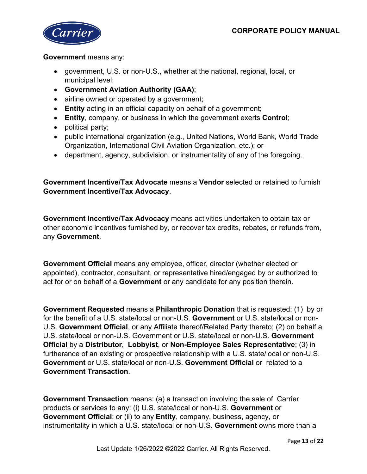

#### **Government** means any:

- government, U.S. or non-U.S., whether at the national, regional, local, or municipal level;
- **Government Aviation Authority (GAA)**;
- airline owned or operated by a government;
- **Entity** acting in an official capacity on behalf of a government;
- **Entity**, company, or business in which the government exerts **Control**;
- political party;
- public international organization (e.g., United Nations, World Bank, World Trade Organization, International Civil Aviation Organization, etc.); or
- department, agency, subdivision, or instrumentality of any of the foregoing.

**Government Incentive/Tax Advocate** means a **Vendor** selected or retained to furnish **Government Incentive/Tax Advocacy**.

**Government Incentive/Tax Advocacy** means activities undertaken to obtain tax or other economic incentives furnished by, or recover tax credits, rebates, or refunds from, any **Government**.

**Government Official** means any employee, officer, director (whether elected or appointed), contractor, consultant, or representative hired/engaged by or authorized to act for or on behalf of a **Government** or any candidate for any position therein.

**Government Requested** means a **Philanthropic Donation** that is requested: (1) by or for the benefit of a U.S. state/local or non-U.S. **Government** or U.S. state/local or non-U.S. **Government Official**, or any Affiliate thereof/Related Party thereto; (2) on behalf a U.S. state/local or non-U.S. Government or U.S. state/local or non-U.S. **Government Official** by a **Distributor**, **Lobbyist**, or **Non-Employee Sales Representative**; (3) in furtherance of an existing or prospective relationship with a U.S. state/local or non-U.S. **Government** or U.S. state/local or non-U.S. **Government Official** or related to a **Government Transaction**.

**Government Transaction** means: (a) a transaction involving the sale of Carrier products or services to any: (i) U.S. state/local or non-U.S. **Government** or **Government Official**; or (ii) to any **Entity**, company, business, agency, or instrumentality in which a U.S. state/local or non-U.S. **Government** owns more than a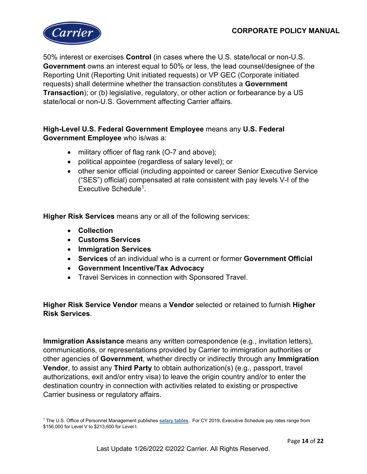

50% interest or exercises **Control** (in cases where the U.S. state/local or non-U.S. **Government** owns an interest equal to 50% or less, the lead counsel/designee of the Reporting Unit (Reporting Unit initiated requests) or VP GEC (Corporate initiated requests) shall determine whether the transaction constitutes a **Government Transaction**); or (b) legislative, regulatory, or other action or forbearance by a US state/local or non-U.S. Government affecting Carrier affairs.

## **High-Level U.S. Federal Government Employee** means any **U.S. Federal Government Employee** who is/was a:

- military officer of flag rank (O-7 and above);
- political appointee (regardless of salary level); or
- other senior official (including appointed or career Senior Executive Service ("SES") official) compensated at rate consistent with pay levels V-I of the Executive Schedule<sup>1</sup>.

**Higher Risk Services** means any or all of the following services:

- **Collection**
- **Customs Services**
- **Immigration Services**
- **Services** of an individual who is a current or former **Government Official**
- **Government Incentive/Tax Advocacy**
- Travel Services in connection with Sponsored Travel.

**Higher Risk Service Vendor** means a **Vendor** selected or retained to furnish **Higher Risk Services**.

**Immigration Assistance** means any written correspondence (e.g., invitation letters), communications, or representations provided by Carrier to immigration authorities or other agencies of **Government**, whether directly or indirectly through any **Immigration Vendor**, to assist any **Third Party** to obtain authorization(s) (e.g., passport, travel authorizations, exit and/or entry visa) to leave the origin country and/or to enter the destination country in connection with activities related to existing or prospective Carrier business or regulatory affairs.

<sup>1</sup> The U.S. Office of Personnel Management publishes **[salary tables](https://www.opm.gov/policy-data-oversight/pay-leave/salaries-wages/)**. For CY 2019, Executive Schedule pay rates range from \$156,000 for Level V to \$213,600 for Level I.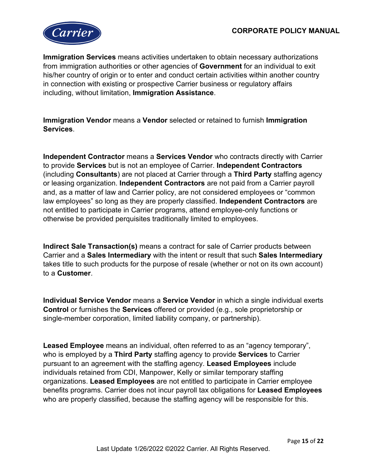

**Immigration Services** means activities undertaken to obtain necessary authorizations from immigration authorities or other agencies of **Government** for an individual to exit his/her country of origin or to enter and conduct certain activities within another country in connection with existing or prospective Carrier business or regulatory affairs including, without limitation, **Immigration Assistance**.

**Immigration Vendor** means a **Vendor** selected or retained to furnish **Immigration Services**.

**Independent Contractor** means a **Services Vendor** who contracts directly with Carrier to provide **Services** but is not an employee of Carrier. **Independent Contractors** (including **Consultants**) are not placed at Carrier through a **Third Party** staffing agency or leasing organization. **Independent Contractors** are not paid from a Carrier payroll and, as a matter of law and Carrier policy, are not considered employees or "common law employees" so long as they are properly classified. **Independent Contractors** are not entitled to participate in Carrier programs, attend employee-only functions or otherwise be provided perquisites traditionally limited to employees.

**Indirect Sale Transaction(s)** means a contract for sale of Carrier products between Carrier and a **Sales Intermediary** with the intent or result that such **Sales Intermediary** takes title to such products for the purpose of resale (whether or not on its own account) to a **Customer**.

**Individual Service Vendor** means a **Service Vendor** in which a single individual exerts **Control** or furnishes the **Services** offered or provided (e.g., sole proprietorship or single-member corporation, limited liability company, or partnership).

**Leased Employee** means an individual, often referred to as an "agency temporary", who is employed by a **Third Party** staffing agency to provide **Services** to Carrier pursuant to an agreement with the staffing agency. **Leased Employees** include individuals retained from CDI, Manpower, Kelly or similar temporary staffing organizations. **Leased Employees** are not entitled to participate in Carrier employee benefits programs. Carrier does not incur payroll tax obligations for **Leased Employees** who are properly classified, because the staffing agency will be responsible for this.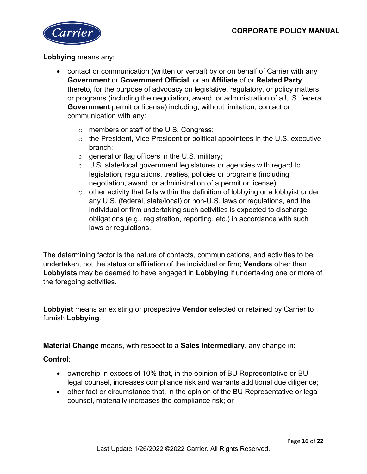

#### **Lobbying** means any:

- contact or communication (written or verbal) by or on behalf of Carrier with any **Government** or **Government Official**, or an **Affiliate** of or **Related Party** thereto, for the purpose of advocacy on legislative, regulatory, or policy matters or programs (including the negotiation, award, or administration of a U.S. federal **Government** permit or license) including, without limitation, contact or communication with any:
	- o members or staff of the U.S. Congress;
	- o the President, Vice President or political appointees in the U.S. executive branch;
	- $\circ$  general or flag officers in the U.S. military;
	- o U.S. state/local government legislatures or agencies with regard to legislation, regulations, treaties, policies or programs (including negotiation, award, or administration of a permit or license);
	- $\circ$  other activity that falls within the definition of lobbying or a lobbyist under any U.S. (federal, state/local) or non-U.S. laws or regulations, and the individual or firm undertaking such activities is expected to discharge obligations (e.g., registration, reporting, etc.) in accordance with such laws or regulations.

The determining factor is the nature of contacts, communications, and activities to be undertaken, not the status or affiliation of the individual or firm; **Vendors** other than **Lobbyists** may be deemed to have engaged in **Lobbying** if undertaking one or more of the foregoing activities.

**Lobbyist** means an existing or prospective **Vendor** selected or retained by Carrier to furnish **Lobbying**.

**Material Change** means, with respect to a **Sales Intermediary**, any change in:

#### **Control**;

- ownership in excess of 10% that, in the opinion of BU Representative or BU legal counsel, increases compliance risk and warrants additional due diligence;
- other fact or circumstance that, in the opinion of the BU Representative or legal counsel, materially increases the compliance risk; or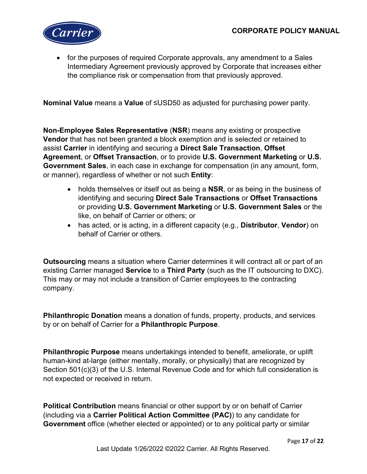

• for the purposes of required Corporate approvals, any amendment to a Sales Intermediary Agreement previously approved by Corporate that increases either the compliance risk or compensation from that previously approved.

**Nominal Value** means a **Value** of ≤USD50 as adjusted for purchasing power parity.

**Non-Employee Sales Representative** (**NSR**) means any existing or prospective **Vendor** that has not been granted a block exemption and is selected or retained to assist **Carrier** in identifying and securing a **Direct Sale Transaction**, **Offset Agreement**, or **Offset Transaction**, or to provide **U.S. Government Marketing** or **U.S. Government Sales**, in each case in exchange for compensation (in any amount, form, or manner), regardless of whether or not such **Entity**:

- holds themselves or itself out as being a **NSR**, or as being in the business of identifying and securing **Direct Sale Transactions** or **Offset Transactions** or providing **U.S. Government Marketing** or **U.S. Government Sales** or the like, on behalf of Carrier or others; or
- has acted, or is acting, in a different capacity (e.g., **Distributor**, **Vendor**) on behalf of Carrier or others.

**Outsourcing** means a situation where Carrier determines it will contract all or part of an existing Carrier managed **Service** to a **Third Party** (such as the IT outsourcing to DXC). This may or may not include a transition of Carrier employees to the contracting company.

**Philanthropic Donation** means a donation of funds, property, products, and services by or on behalf of Carrier for a **Philanthropic Purpose**.

**Philanthropic Purpose** means undertakings intended to benefit, ameliorate, or uplift human-kind at-large (either mentally, morally, or physically) that are recognized by Section 501(c)(3) of the U.S. Internal Revenue Code and for which full consideration is not expected or received in return.

**Political Contribution** means financial or other support by or on behalf of Carrier (including via a **Carrier Political Action Committee (PAC)**) to any candidate for **Government** office (whether elected or appointed) or to any political party or similar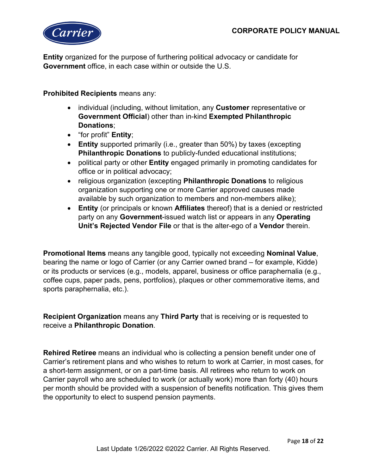

**Entity** organized for the purpose of furthering political advocacy or candidate for **Government** office, in each case within or outside the U.S.

**Prohibited Recipients** means any:

- individual (including, without limitation, any **Customer** representative or **Government Official**) other than in-kind **Exempted Philanthropic Donations**;
- "for profit" **Entity**;
- **Entity** supported primarily (i.e., greater than 50%) by taxes (excepting **Philanthropic Donations** to publicly-funded educational institutions;
- political party or other **Entity** engaged primarily in promoting candidates for office or in political advocacy;
- religious organization (excepting **Philanthropic Donations** to religious organization supporting one or more Carrier approved causes made available by such organization to members and non-members alike);
- **Entity** (or principals or known **Affiliates** thereof) that is a denied or restricted party on any **Government**-issued watch list or appears in any **Operating Unit's Rejected Vendor File** or that is the alter-ego of a **Vendor** therein.

**Promotional Items** means any tangible good, typically not exceeding **Nominal Value**, bearing the name or logo of Carrier (or any Carrier owned brand – for example, Kidde) or its products or services (e.g., models, apparel, business or office paraphernalia (e.g., coffee cups, paper pads, pens, portfolios), plaques or other commemorative items, and sports paraphernalia, etc.).

**Recipient Organization** means any **Third Party** that is receiving or is requested to receive a **Philanthropic Donation**.

**Rehired Retiree** means an individual who is collecting a pension benefit under one of Carrier's retirement plans and who wishes to return to work at Carrier, in most cases, for a short-term assignment, or on a part-time basis. All retirees who return to work on Carrier payroll who are scheduled to work (or actually work) more than forty (40) hours per month should be provided with a suspension of benefits notification. This gives them the opportunity to elect to suspend pension payments.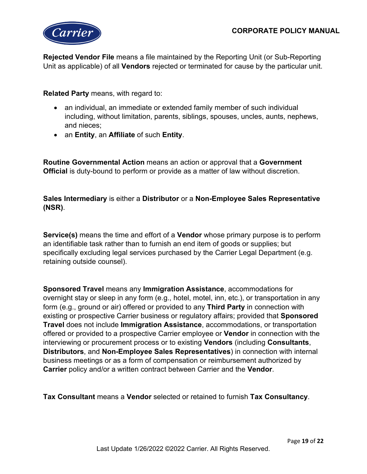

**Rejected Vendor File** means a file maintained by the Reporting Unit (or Sub-Reporting Unit as applicable) of all **Vendors** rejected or terminated for cause by the particular unit.

**Related Party** means, with regard to:

- an individual, an immediate or extended family member of such individual including, without limitation, parents, siblings, spouses, uncles, aunts, nephews, and nieces;
- an **Entity**, an **Affiliate** of such **Entity**.

**Routine Governmental Action** means an action or approval that a **Government Official** is duty-bound to perform or provide as a matter of law without discretion.

**Sales Intermediary** is either a **Distributor** or a **Non-Employee Sales Representative (NSR)**.

**Service(s)** means the time and effort of a **Vendor** whose primary purpose is to perform an identifiable task rather than to furnish an end item of goods or supplies; but specifically excluding legal services purchased by the Carrier Legal Department (e.g. retaining outside counsel).

**Sponsored Travel** means any **Immigration Assistance**, accommodations for overnight stay or sleep in any form (e.g., hotel, motel, inn, etc.), or transportation in any form (e.g., ground or air) offered or provided to any **Third Party** in connection with existing or prospective Carrier business or regulatory affairs; provided that **Sponsored Travel** does not include **Immigration Assistance**, accommodations, or transportation offered or provided to a prospective Carrier employee or **Vendor** in connection with the interviewing or procurement process or to existing **Vendors** (including **Consultants**, **Distributors**, and **Non-Employee Sales Representatives**) in connection with internal business meetings or as a form of compensation or reimbursement authorized by **Carrier** policy and/or a written contract between Carrier and the **Vendor**.

**Tax Consultant** means a **Vendor** selected or retained to furnish **Tax Consultancy**.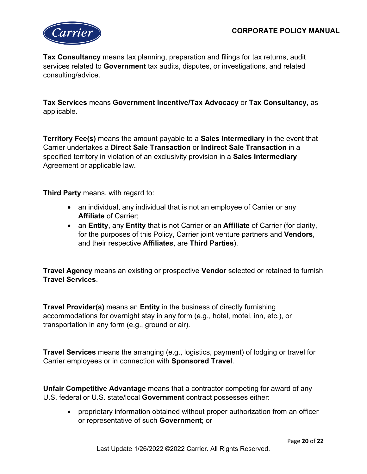

**Tax Consultancy** means tax planning, preparation and filings for tax returns, audit services related to **Government** tax audits, disputes, or investigations, and related consulting/advice.

**Tax Services** means **Government Incentive/Tax Advocacy** or **Tax Consultancy**, as applicable.

**Territory Fee(s)** means the amount payable to a **Sales Intermediary** in the event that Carrier undertakes a **Direct Sale Transaction** or **Indirect Sale Transaction** in a specified territory in violation of an exclusivity provision in a **Sales Intermediary**  Agreement or applicable law.

**Third Party** means, with regard to:

- an individual, any individual that is not an employee of Carrier or any **Affiliate** of Carrier;
- an **Entity**, any **Entity** that is not Carrier or an **Affiliate** of Carrier (for clarity, for the purposes of this Policy, Carrier joint venture partners and **Vendors**, and their respective **Affiliates**, are **Third Parties**).

**Travel Agency** means an existing or prospective **Vendor** selected or retained to furnish **Travel Services**.

**Travel Provider(s)** means an **Entity** in the business of directly furnishing accommodations for overnight stay in any form (e.g., hotel, motel, inn, etc.), or transportation in any form (e.g., ground or air).

**Travel Services** means the arranging (e.g., logistics, payment) of lodging or travel for Carrier employees or in connection with **Sponsored Travel**.

**Unfair Competitive Advantage** means that a contractor competing for award of any U.S. federal or U.S. state/local **Government** contract possesses either:

• proprietary information obtained without proper authorization from an officer or representative of such **Government**; or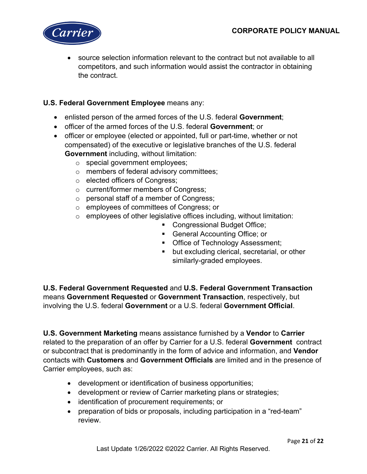

• source selection information relevant to the contract but not available to all competitors, and such information would assist the contractor in obtaining the contract.

# **U.S. Federal Government Employee** means any:

- enlisted person of the armed forces of the U.S. federal **Government**;
- officer of the armed forces of the U.S. federal **Government**; or
- officer or employee (elected or appointed, full or part-time, whether or not compensated) of the executive or legislative branches of the U.S. federal **Government** including, without limitation:
	- o special government employees;
	- o members of federal advisory committees;
	- o elected officers of Congress;
	- o current/former members of Congress;
	- o personal staff of a member of Congress;
	- o employees of committees of Congress; or
	- $\circ$  employees of other legislative offices including, without limitation:
		- Congressional Budget Office;
		- **General Accounting Office; or**
		- **Office of Technology Assessment;**
		- **but excluding clerical, secretarial, or other** similarly-graded employees.

**U.S. Federal Government Requested** and **U.S. Federal Government Transaction** means **Government Requested** or **Government Transaction**, respectively, but involving the U.S. federal **Government** or a U.S. federal **Government Official**.

**U.S. Government Marketing** means assistance furnished by a **Vendor** to **Carrier** related to the preparation of an offer by Carrier for a U.S. federal **Government** contract or subcontract that is predominantly in the form of advice and information, and **Vendor** contacts with **Customers** and **Government Officials** are limited and in the presence of Carrier employees, such as:

- development or identification of business opportunities;
- development or review of Carrier marketing plans or strategies;
- identification of procurement requirements; or
- preparation of bids or proposals, including participation in a "red-team" review.